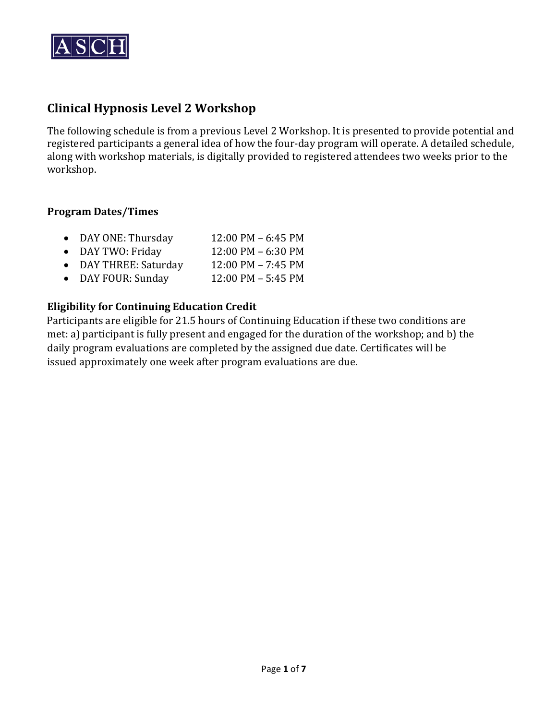

# **Clinical Hypnosis Level 2 Workshop**

The following schedule is from a previous Level 2 Workshop. It is presented to provide potential and registered participants a general idea of how the four-day program will operate. A detailed schedule, along with workshop materials, is digitally provided to registered attendees two weeks prior to the workshop.

## **Program Dates/Times**

- DAY ONE: Thursday 12:00 PM 6:45 PM<br>• DAY TWO: Fridav 12:00 PM 6:30 PM
- DAY TWO: Friday 12:00 PM 6:30 PM<br>• DAY THREE: Saturday 12:00 PM 7:45 PM
- DAY THREE: Saturday 12:00 PM 7:45 PM<br>• DAY FOUR: Sunday 12:00 PM 5:45 PM
- DAY FOUR: Sunday

# **Eligibility for Continuing Education Credit**

Participants are eligible for 21.5 hours of Continuing Education if these two conditions are met: a) participant is fully present and engaged for the duration of the workshop; and b) the daily program evaluations are completed by the assigned due date. Certificates will be issued approximately one week after program evaluations are due.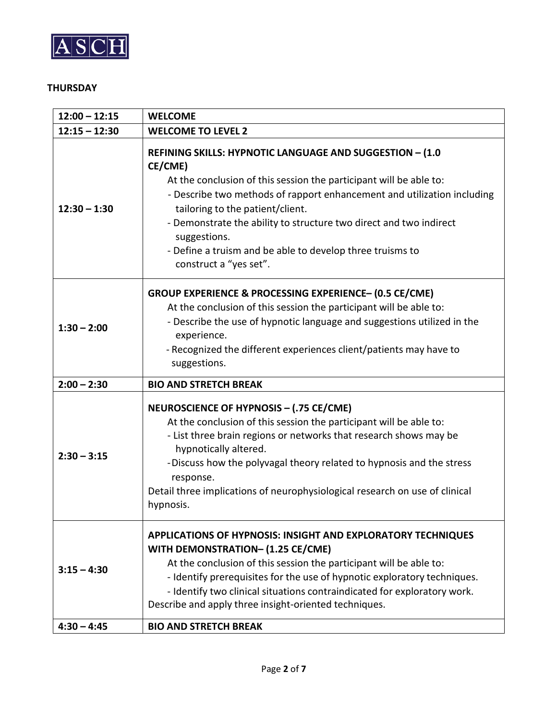

#### **THURSDAY**

| $12:00 - 12:15$ | <b>WELCOME</b>                                                                                                                                                                                                                                                                                                                                                                                                                        |
|-----------------|---------------------------------------------------------------------------------------------------------------------------------------------------------------------------------------------------------------------------------------------------------------------------------------------------------------------------------------------------------------------------------------------------------------------------------------|
| $12:15 - 12:30$ | <b>WELCOME TO LEVEL 2</b>                                                                                                                                                                                                                                                                                                                                                                                                             |
| $12:30 - 1:30$  | REFINING SKILLS: HYPNOTIC LANGUAGE AND SUGGESTION - (1.0<br>CE/CME)<br>At the conclusion of this session the participant will be able to:<br>- Describe two methods of rapport enhancement and utilization including<br>tailoring to the patient/client.<br>- Demonstrate the ability to structure two direct and two indirect<br>suggestions.<br>- Define a truism and be able to develop three truisms to<br>construct a "yes set". |
| $1:30 - 2:00$   | GROUP EXPERIENCE & PROCESSING EXPERIENCE- (0.5 CE/CME)<br>At the conclusion of this session the participant will be able to:<br>- Describe the use of hypnotic language and suggestions utilized in the<br>experience.<br>- Recognized the different experiences client/patients may have to<br>suggestions.                                                                                                                          |
| $2:00 - 2:30$   | <b>BIO AND STRETCH BREAK</b>                                                                                                                                                                                                                                                                                                                                                                                                          |
| $2:30 - 3:15$   | NEUROSCIENCE OF HYPNOSIS - (.75 CE/CME)<br>At the conclusion of this session the participant will be able to:<br>- List three brain regions or networks that research shows may be<br>hypnotically altered.<br>-Discuss how the polyvagal theory related to hypnosis and the stress<br>response.<br>Detail three implications of neurophysiological research on use of clinical<br>hypnosis.                                          |
| $3:15 - 4:30$   | APPLICATIONS OF HYPNOSIS: INSIGHT AND EXPLORATORY TECHNIQUES<br>WITH DEMONSTRATION- (1.25 CE/CME)<br>At the conclusion of this session the participant will be able to:<br>- Identify prerequisites for the use of hypnotic exploratory techniques.<br>- Identify two clinical situations contraindicated for exploratory work.<br>Describe and apply three insight-oriented techniques.                                              |
| $4:30 - 4:45$   | <b>BIO AND STRETCH BREAK</b>                                                                                                                                                                                                                                                                                                                                                                                                          |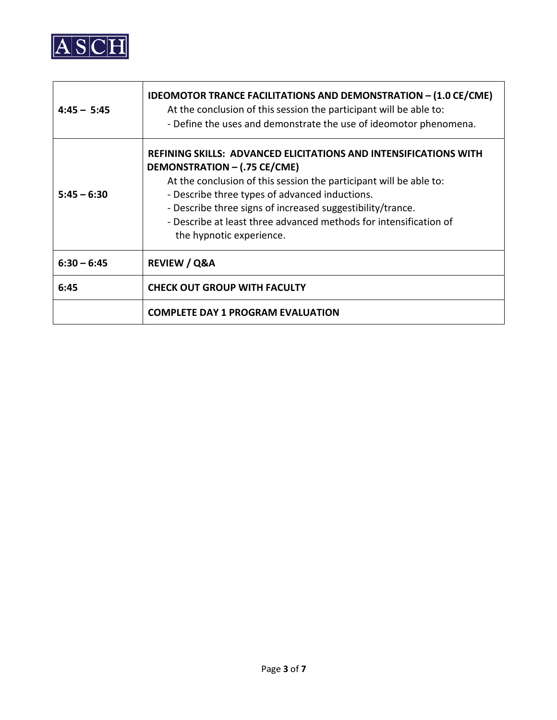

| $4:45 - 5:45$ | <b>IDEOMOTOR TRANCE FACILITATIONS AND DEMONSTRATION - (1.0 CE/CME)</b><br>At the conclusion of this session the participant will be able to:<br>- Define the uses and demonstrate the use of ideomotor phenomena.                                                                                                                                                                              |
|---------------|------------------------------------------------------------------------------------------------------------------------------------------------------------------------------------------------------------------------------------------------------------------------------------------------------------------------------------------------------------------------------------------------|
| $5:45 - 6:30$ | <b>REFINING SKILLS: ADVANCED ELICITATIONS AND INTENSIFICATIONS WITH</b><br>DEMONSTRATION - (.75 CE/CME)<br>At the conclusion of this session the participant will be able to:<br>- Describe three types of advanced inductions.<br>- Describe three signs of increased suggestibility/trance.<br>- Describe at least three advanced methods for intensification of<br>the hypnotic experience. |
| $6:30 - 6:45$ | <b>REVIEW / Q&amp;A</b>                                                                                                                                                                                                                                                                                                                                                                        |
| 6:45          | <b>CHECK OUT GROUP WITH FACULTY</b>                                                                                                                                                                                                                                                                                                                                                            |
|               | <b>COMPLETE DAY 1 PROGRAM EVALUATION</b>                                                                                                                                                                                                                                                                                                                                                       |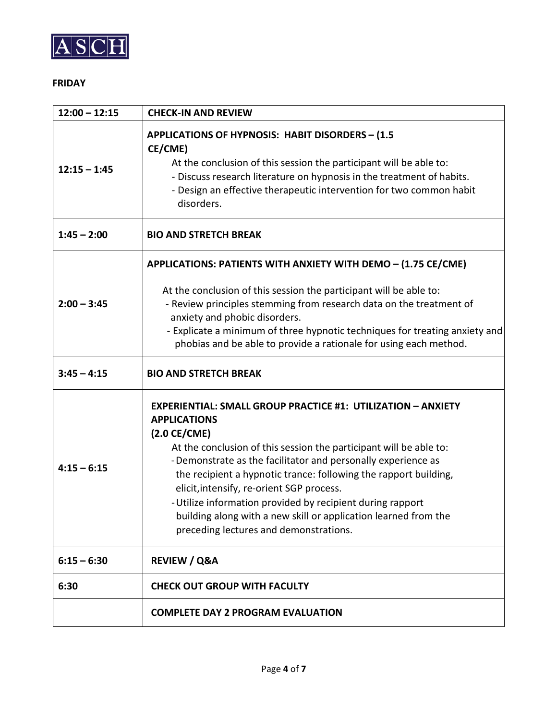

#### **FRIDAY**

| $12:00 - 12:15$ | <b>CHECK-IN AND REVIEW</b>                                                                                                                                                                                                                                                                                                                                                                                                                                                                                                                             |
|-----------------|--------------------------------------------------------------------------------------------------------------------------------------------------------------------------------------------------------------------------------------------------------------------------------------------------------------------------------------------------------------------------------------------------------------------------------------------------------------------------------------------------------------------------------------------------------|
| $12:15 - 1:45$  | <b>APPLICATIONS OF HYPNOSIS: HABIT DISORDERS - (1.5)</b><br>CE/CME)<br>At the conclusion of this session the participant will be able to:<br>- Discuss research literature on hypnosis in the treatment of habits.<br>- Design an effective therapeutic intervention for two common habit<br>disorders.                                                                                                                                                                                                                                                |
| $1:45 - 2:00$   | <b>BIO AND STRETCH BREAK</b>                                                                                                                                                                                                                                                                                                                                                                                                                                                                                                                           |
| $2:00 - 3:45$   | APPLICATIONS: PATIENTS WITH ANXIETY WITH DEMO - (1.75 CE/CME)<br>At the conclusion of this session the participant will be able to:<br>- Review principles stemming from research data on the treatment of<br>anxiety and phobic disorders.<br>- Explicate a minimum of three hypnotic techniques for treating anxiety and<br>phobias and be able to provide a rationale for using each method.                                                                                                                                                        |
| $3:45 - 4:15$   | <b>BIO AND STRETCH BREAK</b>                                                                                                                                                                                                                                                                                                                                                                                                                                                                                                                           |
| $4:15 - 6:15$   | <b>EXPERIENTIAL: SMALL GROUP PRACTICE #1: UTILIZATION - ANXIETY</b><br><b>APPLICATIONS</b><br>$(2.0 \text{ CE/CME})$<br>At the conclusion of this session the participant will be able to:<br>-Demonstrate as the facilitator and personally experience as<br>the recipient a hypnotic trance: following the rapport building,<br>elicit, intensify, re-orient SGP process.<br>- Utilize information provided by recipient during rapport<br>building along with a new skill or application learned from the<br>preceding lectures and demonstrations. |
| $6:15 - 6:30$   | <b>REVIEW / Q&amp;A</b>                                                                                                                                                                                                                                                                                                                                                                                                                                                                                                                                |
| 6:30            | <b>CHECK OUT GROUP WITH FACULTY</b>                                                                                                                                                                                                                                                                                                                                                                                                                                                                                                                    |
|                 | <b>COMPLETE DAY 2 PROGRAM EVALUATION</b>                                                                                                                                                                                                                                                                                                                                                                                                                                                                                                               |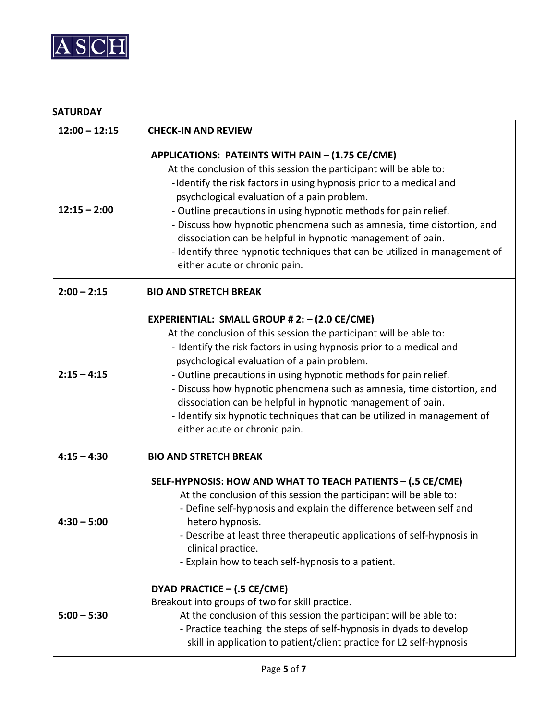

## **SATURDAY**

| $12:00 - 12:15$ | <b>CHECK-IN AND REVIEW</b>                                                                                                                                                                                                                                                                                                                                                                                                                                                                                                                                               |
|-----------------|--------------------------------------------------------------------------------------------------------------------------------------------------------------------------------------------------------------------------------------------------------------------------------------------------------------------------------------------------------------------------------------------------------------------------------------------------------------------------------------------------------------------------------------------------------------------------|
| $12:15 - 2:00$  | APPLICATIONS: PATEINTS WITH PAIN - (1.75 CE/CME)<br>At the conclusion of this session the participant will be able to:<br>-Identify the risk factors in using hypnosis prior to a medical and<br>psychological evaluation of a pain problem.<br>- Outline precautions in using hypnotic methods for pain relief.<br>- Discuss how hypnotic phenomena such as amnesia, time distortion, and<br>dissociation can be helpful in hypnotic management of pain.<br>- Identify three hypnotic techniques that can be utilized in management of<br>either acute or chronic pain. |
| $2:00 - 2:15$   | <b>BIO AND STRETCH BREAK</b>                                                                                                                                                                                                                                                                                                                                                                                                                                                                                                                                             |
| $2:15 - 4:15$   | EXPERIENTIAL: SMALL GROUP # 2: - (2.0 CE/CME)<br>At the conclusion of this session the participant will be able to:<br>- Identify the risk factors in using hypnosis prior to a medical and<br>psychological evaluation of a pain problem.<br>- Outline precautions in using hypnotic methods for pain relief.<br>- Discuss how hypnotic phenomena such as amnesia, time distortion, and<br>dissociation can be helpful in hypnotic management of pain.<br>- Identify six hypnotic techniques that can be utilized in management of<br>either acute or chronic pain.     |
| $4:15 - 4:30$   | <b>BIO AND STRETCH BREAK</b>                                                                                                                                                                                                                                                                                                                                                                                                                                                                                                                                             |
| $4:30 - 5:00$   | SELF-HYPNOSIS: HOW AND WHAT TO TEACH PATIENTS - (.5 CE/CME)<br>At the conclusion of this session the participant will be able to:<br>- Define self-hypnosis and explain the difference between self and<br>hetero hypnosis.<br>- Describe at least three therapeutic applications of self-hypnosis in<br>clinical practice.<br>- Explain how to teach self-hypnosis to a patient.                                                                                                                                                                                        |
| $5:00 - 5:30$   | DYAD PRACTICE - (.5 CE/CME)<br>Breakout into groups of two for skill practice.<br>At the conclusion of this session the participant will be able to:<br>- Practice teaching the steps of self-hypnosis in dyads to develop<br>skill in application to patient/client practice for L2 self-hypnosis                                                                                                                                                                                                                                                                       |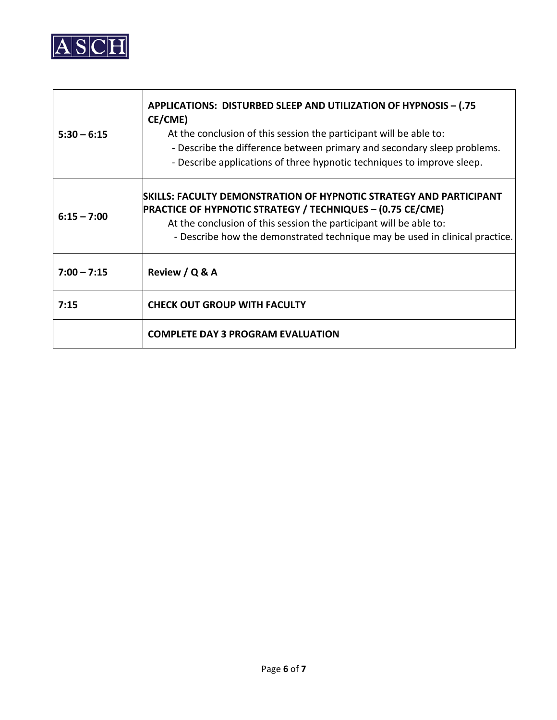

| $5:30 - 6:15$ | APPLICATIONS: DISTURBED SLEEP AND UTILIZATION OF HYPNOSIS - (.75<br>CE/CME)<br>At the conclusion of this session the participant will be able to:<br>- Describe the difference between primary and secondary sleep problems.<br>- Describe applications of three hypnotic techniques to improve sleep. |
|---------------|--------------------------------------------------------------------------------------------------------------------------------------------------------------------------------------------------------------------------------------------------------------------------------------------------------|
| $6:15 - 7:00$ | SKILLS: FACULTY DEMONSTRATION OF HYPNOTIC STRATEGY AND PARTICIPANT<br><b>PRACTICE OF HYPNOTIC STRATEGY / TECHNIQUES - (0.75 CE/CME)</b><br>At the conclusion of this session the participant will be able to:<br>- Describe how the demonstrated technique may be used in clinical practice.           |
| $7:00 - 7:15$ | Review / Q & A                                                                                                                                                                                                                                                                                         |
| 7:15          | <b>CHECK OUT GROUP WITH FACULTY</b>                                                                                                                                                                                                                                                                    |
|               | <b>COMPLETE DAY 3 PROGRAM EVALUATION</b>                                                                                                                                                                                                                                                               |